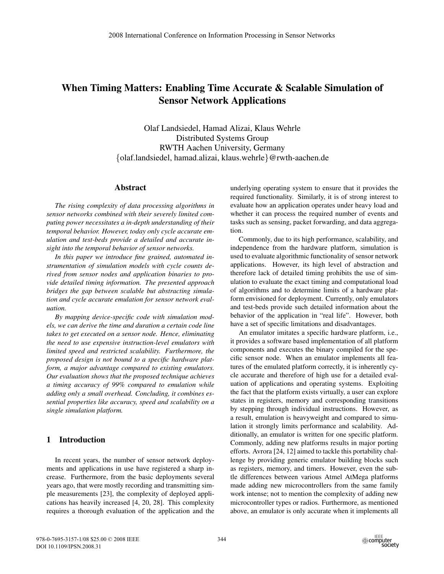# When Timing Matters: Enabling Time Accurate & Scalable Simulation of Sensor Network Applications

Olaf Landsiedel, Hamad Alizai, Klaus Wehrle Distributed Systems Group RWTH Aachen University, Germany {olaf.landsiedel, hamad.alizai, klaus.wehrle}@rwth-aachen.de

## Abstract

*The rising complexity of data processing algorithms in sensor networks combined with their severely limited computing power necessitates a in-depth understanding of their temporal behavior. However, today only cycle accurate emulation and test-beds provide a detailed and accurate insight into the temporal behavior of sensor networks.*

*In this paper we introduce fine grained, automated instrumentation of simulation models with cycle counts derived from sensor nodes and application binaries to provide detailed timing information. The presented approach bridges the gap between scalable but abstracting simulation and cycle accurate emulation for sensor network evaluation.*

*By mapping device-specific code with simulation models, we can derive the time and duration a certain code line takes to get executed on a sensor node. Hence, eliminating the need to use expensive instruction-level emulators with limited speed and restricted scalability. Furthermore, the proposed design is not bound to a specific hardware platform, a major advantage compared to existing emulators. Our evaluation shows that the proposed technique achieves a timing accuracy of 99% compared to emulation while adding only a small overhead. Concluding, it combines essential properties like accuracy, speed and scalability on a single simulation platform.*

### 1 Introduction

In recent years, the number of sensor network deployments and applications in use have registered a sharp increase. Furthermore, from the basic deployments several years ago, that were mostly recording and transmitting simple measurements [23], the complexity of deployed applications has heavily increased [4, 20, 28]. This complexity requires a thorough evaluation of the application and the underlying operating system to ensure that it provides the required functionality. Similarly, it is of strong interest to evaluate how an application operates under heavy load and whether it can process the required number of events and tasks such as sensing, packet forwarding, and data aggregation.

Commonly, due to its high performance, scalability, and independence from the hardware platform, simulation is used to evaluate algorithmic functionality of sensor network applications. However, its high level of abstraction and therefore lack of detailed timing prohibits the use of simulation to evaluate the exact timing and computational load of algorithms and to determine limits of a hardware platform envisioned for deployment. Currently, only emulators and test-beds provide such detailed information about the behavior of the application in "real life". However, both have a set of specific limitations and disadvantages.

An emulator imitates a specific hardware platform, i.e., it provides a software based implementation of all platform components and executes the binary compiled for the specific sensor node. When an emulator implements all features of the emulated platform correctly, it is inherently cycle accurate and therefore of high use for a detailed evaluation of applications and operating systems. Exploiting the fact that the platform exists virtually, a user can explore states in registers, memory and corresponding transitions by stepping through individual instructions. However, as a result, emulation is heavyweight and compared to simulation it strongly limits performance and scalability. Additionally, an emulator is written for one specific platform. Commonly, adding new platforms results in major porting efforts. Avrora [24, 12] aimed to tackle this portability challenge by providing generic emulator building blocks such as registers, memory, and timers. However, even the subtle differences between various Atmel AtMega platforms made adding new microcontrollers from the same family work intense; not to mention the complexity of adding new microcontroller types or radios. Furthermore, as mentioned above, an emulator is only accurate when it implements all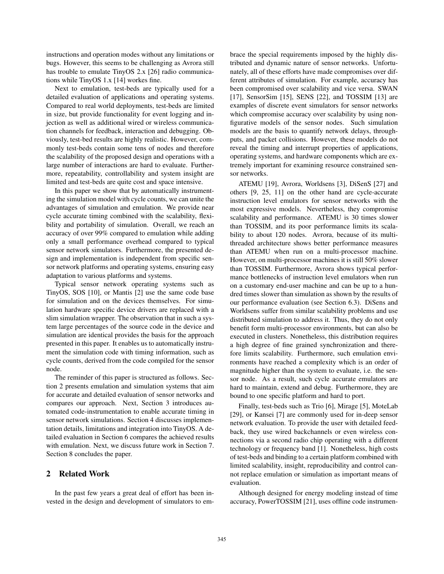instructions and operation modes without any limitations or bugs. However, this seems to be challenging as Avrora still has trouble to emulate TinyOS 2.x [26] radio communications while TinyOS 1.x [14] workes fine.

Next to emulation, test-beds are typically used for a detailed evaluation of applications and operating systems. Compared to real world deployments, test-beds are limited in size, but provide functionality for event logging and injection as well as additional wired or wireless communication channels for feedback, interaction and debugging. Obviously, test-bed results are highly realistic. However, commonly test-beds contain some tens of nodes and therefore the scalability of the proposed design and operations with a large number of interactions are hard to evaluate. Furthermore, repeatability, controllability and system insight are limited and test-beds are quite cost and space intensive.

In this paper we show that by automatically instrumenting the simulation model with cycle counts, we can unite the advantages of simulation and emulation. We provide near cycle accurate timing combined with the scalability, flexibility and portability of simulation. Overall, we reach an accuracy of over 99% compared to emulation while adding only a small performance overhead compared to typical sensor network simulators. Furthermore, the presented design and implementation is independent from specific sensor network platforms and operating systems, ensuring easy adaptation to various platforms and systems.

Typical sensor network operating systems such as TinyOS, SOS [10], or Mantis [2] use the same code base for simulation and on the devices themselves. For simulation hardware specific device drivers are replaced with a slim simulation wrapper. The observation that in such a system large percentages of the source code in the device and simulation are identical provides the basis for the approach presented in this paper. It enables us to automatically instrument the simulation code with timing information, such as cycle counts, derived from the code compiled for the sensor node.

The reminder of this paper is structured as follows. Section 2 presents emulation and simulation systems that aim for accurate and detailed evaluation of sensor networks and compares our approach. Next, Section 3 introduces automated code-instrumentation to enable accurate timing in sensor network simulations. Section 4 discusses implementation details, limitations and integration into TinyOS. A detailed evaluation in Section 6 compares the achieved results with emulation. Next, we discuss future work in Section 7. Section 8 concludes the paper.

## 2 Related Work

In the past few years a great deal of effort has been invested in the design and development of simulators to embrace the special requirements imposed by the highly distributed and dynamic nature of sensor networks. Unfortunately, all of these efforts have made compromises over different attributes of simulation. For example, accuracy has been compromised over scalability and vice versa. SWAN [17], SensorSim [15], SENS [22], and TOSSIM [13] are examples of discrete event simulators for sensor networks which compromise accuracy over scalability by using nonfigurative models of the sensor nodes. Such simulation models are the basis to quantify network delays, throughputs, and packet collisions. However, these models do not reveal the timing and interrupt properties of applications, operating systems, and hardware components which are extremely important for examining resource constrained sensor networks.

ATEMU [19], Avrora, Worldsens [3], DiSenS [27] and others [9, 25, 11] on the other hand are cycle-accurate instruction level emulators for sensor networks with the most expressive models. Nevertheless, they compromise scalability and performance. ATEMU is 30 times slower than TOSSIM, and its poor performance limits its scalability to about 120 nodes. Avrora, because of its multithreaded architecture shows better performance measures than ATEMU when run on a multi-processor machine. However, on multi-processor machines it is still 50% slower than TOSSIM. Furthermore, Avrora shows typical performance bottlenecks of instruction level emulators when run on a customary end-user machine and can be up to a hundred times slower than simulation as shown by the results of our performance evaluation (see Section 6.3). DiSens and Worldsens suffer from similar scalability problems and use distributed simulation to address it. Thus, they do not only benefit form multi-processor environments, but can also be executed in clusters. Nonetheless, this distribution requires a high degree of fine grained synchronization and therefore limits scalability. Furthermore, such emulation environments have reached a complexity which is an order of magnitude higher than the system to evaluate, i.e. the sensor node. As a result, such cycle accurate emulators are hard to maintain, extend and debug. Furthermore, they are bound to one specific platform and hard to port.

Finally, test-beds such as Trio [6], Mirage [5], MoteLab [29], or Kansei [7] are commonly used for in-deep sensor network evaluation. To provide the user with detailed feedback, they use wired backchannels or even wireless connections via a second radio chip operating with a different technology or frequency band [1]. Nonetheless, high costs of test-beds and binding to a certain platform combined with limited scalability, insight, reproducibility and control cannot replace emulation or simulation as important means of evaluation.

Although designed for energy modeling instead of time accuracy, PowerTOSSIM [21], uses offline code instrumen-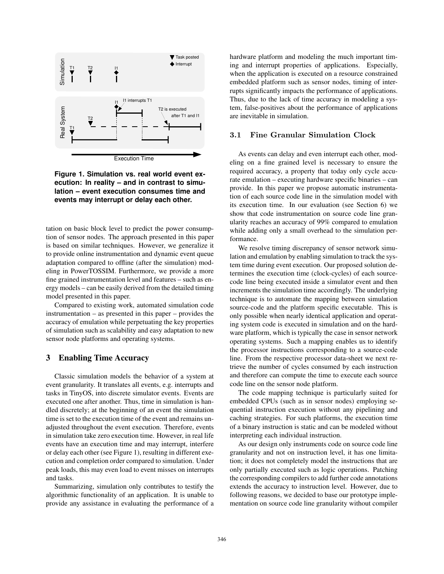

**Figure 1. Simulation vs. real world event execution: In reality – and in contrast to simulation – event execution consumes time and events may interrupt or delay each other.**

tation on basic block level to predict the power consumption of sensor nodes. The approach presented in this paper is based on similar techniques. However, we generalize it to provide online instrumentation and dynamic event queue adaptation compared to offline (after the simulation) modeling in PowerTOSSIM. Furthermore, we provide a more fine grained instrumentation level and features – such as energy models – can be easily derived from the detailed timing model presented in this paper.

Compared to existing work, automated simulation code instrumentation – as presented in this paper – provides the accuracy of emulation while perpetuating the key properties of simulation such as scalability and easy adaptation to new sensor node platforms and operating systems.

## 3 Enabling Time Accuracy

Classic simulation models the behavior of a system at event granularity. It translates all events, e.g. interrupts and tasks in TinyOS, into discrete simulator events. Events are executed one after another. Thus, time in simulation is handled discretely; at the beginning of an event the simulation time is set to the execution time of the event and remains unadjusted throughout the event execution. Therefore, events in simulation take zero execution time. However, in real life events have an execution time and may interrupt, interfere or delay each other (see Figure 1), resulting in different execution and completion order compared to simulation. Under peak loads, this may even load to event misses on interrupts and tasks.

Summarizing, simulation only contributes to testify the algorithmic functionality of an application. It is unable to provide any assistance in evaluating the performance of a hardware platform and modeling the much important timing and interrupt properties of applications. Especially, when the application is executed on a resource constrained embedded platform such as sensor nodes, timing of interrupts significantly impacts the performance of applications. Thus, due to the lack of time accuracy in modeling a system, false-positives about the performance of applications are inevitable in simulation.

## 3.1 Fine Granular Simulation Clock

As events can delay and even interrupt each other, modeling on a fine grained level is necessary to ensure the required accuracy, a property that today only cycle accurate emulation – executing hardware specific binaries – can provide. In this paper we propose automatic instrumentation of each source code line in the simulation model with its execution time. In our evaluation (see Section 6) we show that code instrumentation on source code line granularity reaches an accuracy of 99% compared to emulation while adding only a small overhead to the simulation performance.

We resolve timing discrepancy of sensor network simulation and emulation by enabling simulation to track the system time during event execution. Our proposed solution determines the execution time (clock-cycles) of each sourcecode line being executed inside a simulator event and then increments the simulation time accordingly. The underlying technique is to automate the mapping between simulation source-code and the platform specific executable. This is only possible when nearly identical application and operating system code is executed in simulation and on the hardware platform, which is typically the case in sensor network operating systems. Such a mapping enables us to identify the processor instructions corresponding to a source-code line. From the respective processor data-sheet we next retrieve the number of cycles consumed by each instruction and therefore can compute the time to execute each source code line on the sensor node platform.

The code mapping technique is particularly suited for embedded CPUs (such as in sensor nodes) employing sequential instruction execution without any pipelining and caching strategies. For such platforms, the execution time of a binary instruction is static and can be modeled without interpreting each individual instruction.

As our design only instruments code on source code line granularity and not on instruction level, it has one limitation; it does not completely model the instructions that are only partially executed such as logic operations. Patching the corresponding compilers to add further code annotations extends the accuracy to instruction level. However, due to following reasons, we decided to base our prototype implementation on source code line granularity without compiler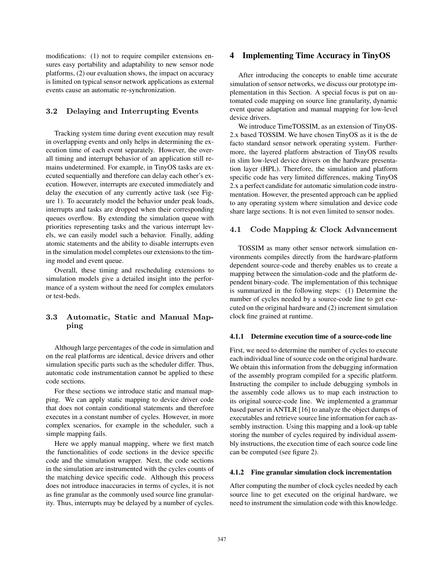modifications: (1) not to require compiler extensions ensures easy portability and adaptability to new sensor node platforms, (2) our evaluation shows, the impact on accuracy is limited on typical sensor network applications as external events cause an automatic re-synchronization.

## 3.2 Delaying and Interrupting Events

Tracking system time during event execution may result in overlapping events and only helps in determining the execution time of each event separately. However, the overall timing and interrupt behavior of an application still remains undetermined. For example, in TinyOS tasks are executed sequentially and therefore can delay each other's execution. However, interrupts are executed immediately and delay the execution of any currently active task (see Figure 1). To accurately model the behavior under peak loads, interrupts and tasks are dropped when their corresponding queues overflow. By extending the simulation queue with priorities representing tasks and the various interrupt levels, we can easily model such a behavior. Finally, adding atomic statements and the ability to disable interrupts even in the simulation model completes our extensions to the timing model and event queue.

Overall, these timing and rescheduling extensions to simulation models give a detailed insight into the performance of a system without the need for complex emulators or test-beds.

## 3.3 Automatic, Static and Manual Mapping

Although large percentages of the code in simulation and on the real platforms are identical, device drivers and other simulation specific parts such as the scheduler differ. Thus, automatic code instrumentation cannot be applied to these code sections.

For these sections we introduce static and manual mapping. We can apply static mapping to device driver code that does not contain conditional statements and therefore executes in a constant number of cycles. However, in more complex scenarios, for example in the scheduler, such a simple mapping fails.

Here we apply manual mapping, where we first match the functionalities of code sections in the device specific code and the simulation wrapper. Next, the code sections in the simulation are instrumented with the cycles counts of the matching device specific code. Although this process does not introduce inaccuracies in terms of cycles, it is not as fine granular as the commonly used source line granularity. Thus, interrupts may be delayed by a number of cycles.

## 4 Implementing Time Accuracy in TinyOS

After introducing the concepts to enable time accurate simulation of sensor networks, we discuss our prototype implementation in this Section. A special focus is put on automated code mapping on source line granularity, dynamic event queue adaptation and manual mapping for low-level device drivers.

We introduce TimeTOSSIM, as an extension of TinyOS-2.x based TOSSIM. We have chosen TinyOS as it is the de facto standard sensor network operating system. Furthermore, the layered platform abstraction of TinyOS results in slim low-level device drivers on the hardware presentation layer (HPL). Therefore, the simulation and platform specific code has very limited differences, making TinyOS 2.x a perfect candidate for automatic simulation code instrumentation. However, the presented approach can be applied to any operating system where simulation and device code share large sections. It is not even limited to sensor nodes.

### 4.1 Code Mapping & Clock Advancement

TOSSIM as many other sensor network simulation environments compiles directly from the hardware-platform dependent source-code and thereby enables us to create a mapping between the simulation-code and the platform dependent binary-code. The implementation of this technique is summarized in the following steps: (1) Determine the number of cycles needed by a source-code line to get executed on the original hardware and (2) increment simulation clock fine grained at runtime.

#### 4.1.1 Determine execution time of a source-code line

First, we need to determine the number of cycles to execute each individual line of source code on the original hardware. We obtain this information from the debugging information of the assembly program compiled for a specific platform. Instructing the compiler to include debugging symbols in the assembly code allows us to map each instruction to its original source-code line. We implemented a grammar based parser in ANTLR [16] to analyze the object dumps of executables and retrieve source line information for each assembly instruction. Using this mapping and a look-up table storing the number of cycles required by individual assembly instructions, the execution time of each source code line can be computed (see figure 2).

#### 4.1.2 Fine granular simulation clock incrementation

After computing the number of clock cycles needed by each source line to get executed on the original hardware, we need to instrument the simulation code with this knowledge.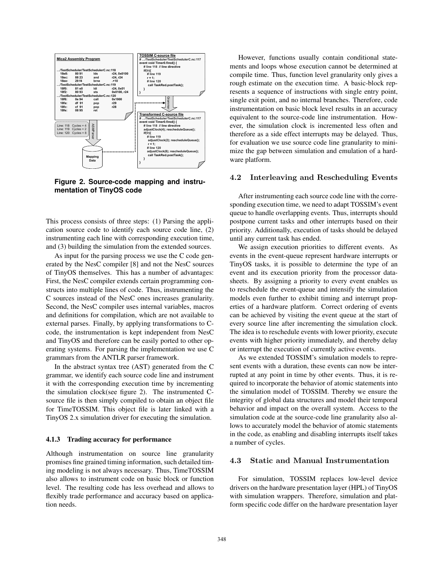

**Figure 2. Source-code mapping and instrumentation of TinyOS code**

This process consists of three steps: (1) Parsing the application source code to identify each source code line, (2) instrumenting each line with corresponding execution time, and (3) building the simulation from the extended sources.

As input for the parsing process we use the C code generated by the NesC compiler [8] and not the NesC sources of TinyOS themselves. This has a number of advantages: First, the NesC compiler extends certain programming constructs into multiple lines of code. Thus, instrumenting the C sources instead of the NesC ones increases granularity. Second, the NesC compiler uses internal variables, macros and definitions for compilation, which are not available to external parses. Finally, by applying transformations to Ccode, the instrumentation is kept independent from NesC and TinyOS and therefore can be easily ported to other operating systems. For parsing the implementation we use C grammars from the ANTLR parser framework.

In the abstract syntax tree (AST) generated from the C grammar, we identify each source code line and instrument it with the corresponding execution time by incrementing the simulation clock(see figure 2). The instrumented Csource file is then simply compiled to obtain an object file for TimeTOSSIM. This object file is later linked with a TinyOS 2.x simulation driver for executing the simulation.

#### 4.1.3 Trading accuracy for performance

Although instrumentation on source line granularity promises fine grained timing information, such detailed timing modeling is not always necessary. Thus, TimeTOSSIM also allows to instrument code on basic block or function level. The resulting code has less overhead and allows to flexibly trade performance and accuracy based on application needs.

However, functions usually contain conditional statements and loops whose execution cannot be determined at compile time. Thus, function level granularity only gives a rough estimate on the execution time. A basic-block represents a sequence of instructions with single entry point, single exit point, and no internal branches. Therefore, code instrumentation on basic block level results in an accuracy equivalent to the source-code line instrumentation. However, the simulation clock is incremented less often and therefore as a side effect interrupts may be delayed. Thus, for evaluation we use source code line granularity to minimize the gap between simulation and emulation of a hardware platform.

#### 4.2 Interleaving and Rescheduling Events

After instrumenting each source code line with the corresponding execution time, we need to adapt TOSSIM's event queue to handle overlapping events. Thus, interrupts should postpone current tasks and other interrupts based on their priority. Additionally, execution of tasks should be delayed until any current task has ended.

We assign execution priorities to different events. As events in the event-queue represent hardware interrupts or TinyOS tasks, it is possible to determine the type of an event and its execution priority from the processor datasheets. By assigning a priority to every event enables us to reschedule the event-queue and intensify the simulation models even further to exhibit timing and interrupt properties of a hardware platform. Correct ordering of events can be achieved by visiting the event queue at the start of every source line after incrementing the simulation clock. The idea is to reschedule events with lower priority, execute events with higher priority immediately, and thereby delay or interrupt the execution of currently active events.

As we extended TOSSIM's simulation models to represent events with a duration, these events can now be interrupted at any point in time by other events. Thus, it is required to incorporate the behavior of atomic statements into the simulation model of TOSSIM. Thereby we ensure the integrity of global data structures and model their temporal behavior and impact on the overall system. Access to the simulation code at the source-code line granularity also allows to accurately model the behavior of atomic statements in the code, as enabling and disabling interrupts itself takes a number of cycles.

#### 4.3 Static and Manual Instrumentation

For simulation, TOSSIM replaces low-level device drivers on the hardware presentation layer (HPL) of TinyOS with simulation wrappers. Therefore, simulation and platform specific code differ on the hardware presentation layer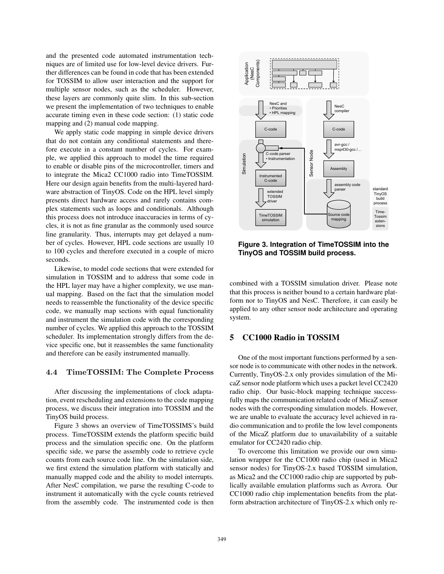and the presented code automated instrumentation techniques are of limited use for low-level device drivers. Further differences can be found in code that has been extended for TOSSIM to allow user interaction and the support for multiple sensor nodes, such as the scheduler. However, these layers are commonly quite slim. In this sub-section we present the implementation of two techniques to enable accurate timing even in these code section: (1) static code mapping and (2) manual code mapping.

We apply static code mapping in simple device drivers that do not contain any conditional statements and therefore execute in a constant number of cycles. For example, we applied this approach to model the time required to enable or disable pins of the microcontroller, timers and to integrate the Mica2 CC1000 radio into TimeTOSSIM. Here our design again benefits from the multi-layered hardware abstraction of TinyOS. Code on the HPL level simply presents direct hardware access and rarely contains complex statements such as loops and conditionals. Although this process does not introduce inaccuracies in terms of cycles, it is not as fine granular as the commonly used source line granularity. Thus, interrupts may get delayed a number of cycles. However, HPL code sections are usually 10 to 100 cycles and therefore executed in a couple of micro seconds.

Likewise, to model code sections that were extended for simulation in TOSSIM and to address that some code in the HPL layer may have a higher complexity, we use manual mapping. Based on the fact that the simulation model needs to reassemble the functionality of the device specific code, we manually map sections with equal functionality and instrument the simulation code with the corresponding number of cycles. We applied this approach to the TOSSIM scheduler. Its implementation strongly differs from the device specific one, but it reassembles the same functionality and therefore can be easily instrumented manually.

### 4.4 TimeTOSSIM: The Complete Process

After discussing the implementations of clock adaptation, event rescheduling and extensions to the code mapping process, we discuss their integration into TOSSIM and the TinyOS build process.

Figure 3 shows an overview of TimeTOSSIMS's build process. TimeTOSSIM extends the platform specific build process and the simulation specific one. On the platform specific side, we parse the assembly code to retrieve cycle counts from each source code line. On the simulation side, we first extend the simulation platform with statically and manually mapped code and the ability to model interrupts. After NesC compilation, we parse the resulting C-code to instrument it automatically with the cycle counts retrieved from the assembly code. The instrumented code is then



**Figure 3. Integration of TimeTOSSIM into the TinyOS and TOSSIM build process.**

combined with a TOSSIM simulation driver. Please note that this process is neither bound to a certain hardware platform nor to TinyOS and NesC. Therefore, it can easily be applied to any other sensor node architecture and operating system.

### 5 CC1000 Radio in TOSSIM

One of the most important functions performed by a sensor node is to communicate with other nodes in the network. Currently, TinyOS-2.x only provides simulation of the MicaZ sensor node platform which uses a packet level CC2420 radio chip. Our basic-block mapping technique successfully maps the communication related code of MicaZ sensor nodes with the corresponding simulation models. However, we are unable to evaluate the accuracy level achieved in radio communication and to profile the low level components of the MicaZ platform due to unavailability of a suitable emulator for CC2420 radio chip.

To overcome this limitation we provide our own simulation wrapper for the CC1000 radio chip (used in Mica2 sensor nodes) for TinyOS-2.x based TOSSIM simulation, as Mica2 and the CC1000 radio chip are supported by publically available emulation platforms such as Avrora. Our CC1000 radio chip implementation benefits from the platform abstraction architecture of TinyOS-2.x which only re-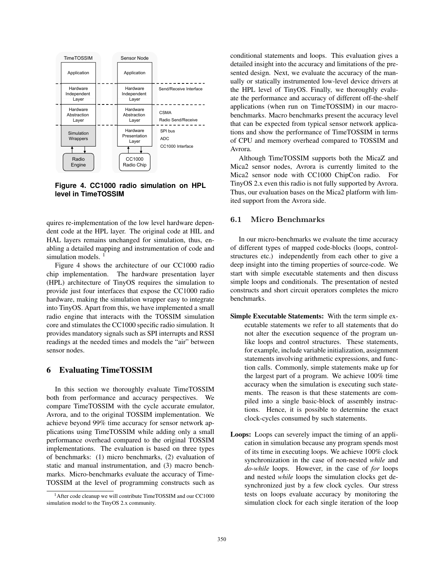

**Figure 4. CC1000 radio simulation on HPL level in TimeTOSSIM**

quires re-implementation of the low level hardware dependent code at the HPL layer. The original code at HIL and HAL layers remains unchanged for simulation, thus, enabling a detailed mapping and instrumentation of code and simulation models.  $<sup>1</sup>$ </sup>

Figure 4 shows the architecture of our CC1000 radio chip implementation. The hardware presentation layer (HPL) architecture of TinyOS requires the simulation to provide just four interfaces that expose the CC1000 radio hardware, making the simulation wrapper easy to integrate into TinyOS. Apart from this, we have implemented a small radio engine that interacts with the TOSSIM simulation core and stimulates the CC1000 specific radio simulation. It provides mandatory signals such as SPI interrupts and RSSI readings at the needed times and models the "air" between sensor nodes.

## 6 Evaluating TimeTOSSIM

In this section we thoroughly evaluate TimeTOSSIM both from performance and accuracy perspectives. We compare TimeTOSSIM with the cycle accurate emulator, Avrora, and to the original TOSSIM implementation. We achieve beyond 99% time accuracy for sensor network applications using TimeTOSSIM while adding only a small performance overhead compared to the original TOSSIM implementations. The evaluation is based on three types of benchmarks: (1) micro benchmarks, (2) evaluation of static and manual instrumentation, and (3) macro benchmarks. Micro-benchmarks evaluate the accuracy of Time-TOSSIM at the level of programming constructs such as

conditional statements and loops. This evaluation gives a detailed insight into the accuracy and limitations of the presented design. Next, we evaluate the accuracy of the manually or statically instrumented low-level device drivers at the HPL level of TinyOS. Finally, we thoroughly evaluate the performance and accuracy of different off-the-shelf applications (when run on TimeTOSSIM) in our macrobenchmarks. Macro benchmarks present the accuracy level that can be expected from typical sensor network applications and show the performance of TimeTOSSIM in terms of CPU and memory overhead compared to TOSSIM and Avrora.

Although TimeTOSSIM supports both the MicaZ and Mica2 sensor nodes, Avrora is currently limited to the Mica2 sensor node with CC1000 ChipCon radio. For TinyOS 2.x even this radio is not fully supported by Avrora. Thus, our evaluation bases on the Mica2 platform with limited support from the Avrora side.

## 6.1 Micro Benchmarks

In our micro-benchmarks we evaluate the time accuracy of different types of mapped code-blocks (loops, controlstructures etc.) independently from each other to give a deep insight into the timing properties of source-code. We start with simple executable statements and then discuss simple loops and conditionals. The presentation of nested constructs and short circuit operators completes the micro benchmarks.

- Simple Executable Statements: With the term simple executable statements we refer to all statements that do not alter the execution sequence of the program unlike loops and control structures. These statements, for example, include variable initialization, assignment statements involving arithmetic expressions, and function calls. Commonly, simple statements make up for the largest part of a program. We achieve 100% time accuracy when the simulation is executing such statements. The reason is that these statements are compiled into a single basic-block of assembly instructions. Hence, it is possible to determine the exact clock-cycles consumed by such statements.
- Loops: Loops can severely impact the timing of an application in simulation because any program spends most of its time in executing loops. We achieve 100% clock synchronization in the case of non-nested *while* and *do-while* loops. However, in the case of *for* loops and nested *while* loops the simulation clocks get desynchronized just by a few clock cycles. Our stress tests on loops evaluate accuracy by monitoring the simulation clock for each single iteration of the loop

<sup>&</sup>lt;sup>1</sup> After code cleanup we will contribute TimeTOSSIM and our CC1000 simulation model to the TinyOS 2.x community.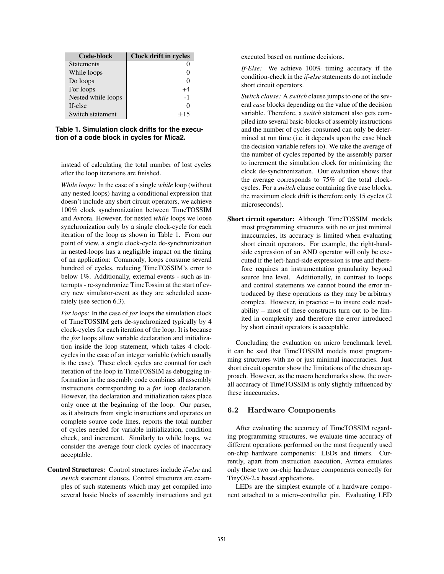| <b>Code-block</b>  | <b>Clock drift in cycles</b> |
|--------------------|------------------------------|
| <b>Statements</b>  |                              |
| While loops        |                              |
| Do loops           |                              |
| For loops          | +4                           |
| Nested while loops | $-1$                         |
| If-else            |                              |
| Switch statement   | $+15$                        |

## **Table 1. Simulation clock drifts for the execution of a code block in cycles for Mica2.**

instead of calculating the total number of lost cycles after the loop iterations are finished.

*While loops:* In the case of a single *while* loop (without any nested loops) having a conditional expression that doesn't include any short circuit operators, we achieve 100% clock synchronization between TimeTOSSIM and Avrora. However, for nested *while* loops we loose synchronization only by a single clock-cycle for each iteration of the loop as shown in Table 1. From our point of view, a single clock-cycle de-synchronization in nested-loops has a negligible impact on the timing of an application: Commonly, loops consume several hundred of cycles, reducing TimeTOSSIM's error to below 1%. Additionally, external events - such as interrupts - re-synchronize TimeTossim at the start of every new simulator-event as they are scheduled accurately (see section 6.3).

*For loops:* In the case of *for* loops the simulation clock of TimeTOSSIM gets de-synchronized typically by 4 clock-cycles for each iteration of the loop. It is because the *for* loops allow variable declaration and initialization inside the loop statement, which takes 4 clockcycles in the case of an integer variable (which usually is the case). These clock cycles are counted for each iteration of the loop in TimeTOSSIM as debugging information in the assembly code combines all assembly instructions corresponding to a *for* loop declaration. However, the declaration and initialization takes place only once at the beginning of the loop. Our parser, as it abstracts from single instructions and operates on complete source code lines, reports the total number of cycles needed for variable initialization, condition check, and increment. Similarly to while loops, we consider the average four clock cycles of inaccuracy acceptable.

Control Structures: Control structures include *if-else* and *switch* statement clauses. Control structures are examples of such statements which may get compiled into several basic blocks of assembly instructions and get executed based on runtime decisions.

*If-Else:* We achieve 100% timing accuracy if the condition-check in the *if-else* statements do not include short circuit operators.

*Switch clause:* A *switch* clause jumps to one of the several *case* blocks depending on the value of the decision variable. Therefore, a *switch* statement also gets compiled into several basic-blocks of assembly instructions and the number of cycles consumed can only be determined at run time (i.e. it depends upon the case block the decision variable refers to). We take the average of the number of cycles reported by the assembly parser to increment the simulation clock for minimizing the clock de-synchronization. Our evaluation shows that the average corresponds to 75% of the total clockcycles. For a *switch* clause containing five case blocks, the maximum clock drift is therefore only 15 cycles (2 microseconds).

Short circuit operator: Although TimeTOSSIM models most programming structures with no or just minimal inaccuracies, its accuracy is limited when evaluating short circuit operators. For example, the right-handside expression of an AND operator will only be executed if the left-hand-side expression is true and therefore requires an instrumentation granularity beyond source line level. Additionally, in contrast to loops and control statements we cannot bound the error introduced by these operations as they may be arbitrary complex. However, in practice – to insure code readability – most of these constructs turn out to be limited in complexity and therefore the error introduced by short circuit operators is acceptable.

Concluding the evaluation on micro benchmark level, it can be said that TimeTOSSIM models most programming structures with no or just minimal inaccuracies. Just short circuit operator show the limitations of the chosen approach. However, as the macro benchmarks show, the overall accuracy of TimeTOSSIM is only slightly influenced by these inaccuracies.

### 6.2 Hardware Components

After evaluating the accuracy of TimeTOSSIM regarding programming structures, we evaluate time accuracy of different operations performed on the most frequently used on-chip hardware components: LEDs and timers. Currently, apart from instruction execution, Avrora emulates only these two on-chip hardware components correctly for TinyOS-2.x based applications.

LEDs are the simplest example of a hardware component attached to a micro-controller pin. Evaluating LED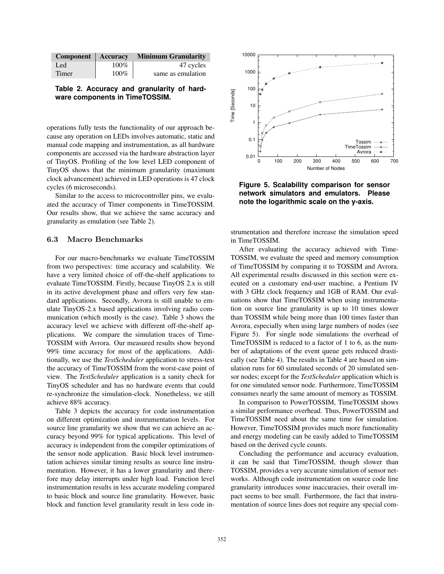| Component   Accuracy |      | <b>Minimum Granularity</b> |
|----------------------|------|----------------------------|
| Led                  | 100% | 47 cycles                  |
| Timer                | 100% | same as emulation          |

**Table 2. Accuracy and granularity of hardware components in TimeTOSSIM.**

operations fully tests the functionality of our approach because any operation on LEDs involves automatic, static and manual code mapping and instrumentation, as all hardware components are accessed via the hardware abstraction layer of TinyOS. Profiling of the low level LED component of TinyOS shows that the minimum granularity (maximum clock advancement) achieved in LED operations is 47 clock cycles (6 microseconds).

Similar to the access to microcontroller pins, we evaluated the accuracy of Timer components in TimeTOSSIM. Our results show, that we achieve the same accuracy and granularity as emulation (see Table 2).

## 6.3 Macro Benchmarks

For our macro-benchmarks we evaluate TimeTOSSIM from two perspectives: time accuracy and scalability. We have a very limited choice of off-the-shelf applications to evaluate TimeTOSSIM. Firstly, because TinyOS 2.x is still in its active development phase and offers very few standard applications. Secondly, Avrora is still unable to emulate TinyOS-2.x based applications involving radio communication (which mostly is the case). Table 3 shows the accuracy level we achieve with different off-the-shelf applications. We compare the simulation traces of Time-TOSSIM with Avrora. Our measured results show beyond 99% time accuracy for most of the applications. Additionally, we use the *TestScheduler* application to stress-test the accuracy of TimeTOSSIM from the worst-case point of view. The *TestScheduler* application is a sanity check for TinyOS scheduler and has no hardware events that could re-synchronize the simulation-clock. Nonetheless, we still achieve 88% accuracy.

Table 3 depicts the accuracy for code instrumentation on different optimization and instrumentation levels. For source line granularity we show that we can achieve an accuracy beyond 99% for typical applications. This level of accuracy is independent from the compiler optimizations of the sensor node application. Basic block level instrumentation achieves similar timing results as source line instrumentation. However, it has a lower granularity and therefore may delay interrupts under high load. Function level instrumentation results in less accurate modeling compared to basic block and source line granularity. However, basic block and function level granularity result in less code in-



**Figure 5. Scalability comparison for sensor network simulators and emulators. Please note the logarithmic scale on the y-axis.**

strumentation and therefore increase the simulation speed in TimeTOSSIM.

After evaluating the accuracy achieved with Time-TOSSIM, we evaluate the speed and memory consumption of TimeTOSSIM by comparing it to TOSSIM and Avrora. All experimental results discussed in this section were executed on a customary end-user machine, a Pentium IV with 3 GHz clock frequency and 1GB of RAM. Our evaluations show that TimeTOSSIM when using instrumentation on source line granularity is up to 10 times slower than TOSSIM while being more than 100 times faster than Avrora, especially when using large numbers of nodes (see Figure 5). For single node simulations the overhead of TimeTOSSIM is reduced to a factor of 1 to 6, as the number of adaptations of the event queue gets reduced drastically (see Table 4). The results in Table 4 are based on simulation runs for 60 simulated seconds of 20 simulated sensor nodes; except for the *TestScheduler* application which is for one simulated sensor node. Furthermore, TimeTOSSIM consumes nearly the same amount of memory as TOSSIM.

In comparison to PowerTOSSIM, TimeTOSSIM shows a similar performance overhead. Thus, PowerTOSSIM and TimeTOSSIM need about the same time for simulation. However, TimeTOSSIM provides much more functionality and energy modeling can be easily added to TimeTOSSIM based on the derived cycle counts.

Concluding the performance and accuracy evaluation, it can be said that TimeTOSSIM, though slower than TOSSIM, provides a very accurate simulation of sensor networks. Although code instrumentation on source code line granularity introduces some inaccuracies, their overall impact seems to bee small. Furthermore, the fact that instrumentation of source lines does not require any special com-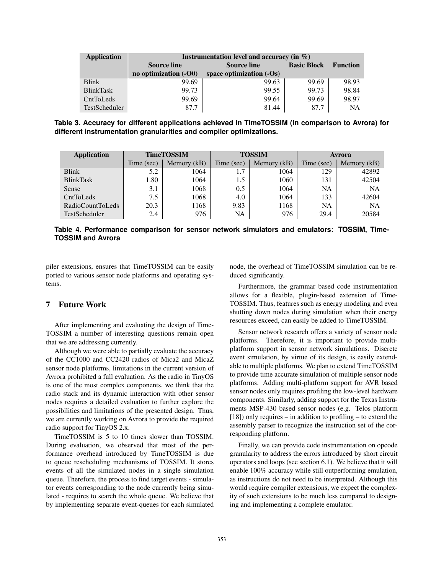| <b>Application</b> | Instrumentation level and accuracy (in $\%$ ) |                          |                    |                 |  |  |
|--------------------|-----------------------------------------------|--------------------------|--------------------|-----------------|--|--|
|                    | <b>Source line</b>                            | <b>Source line</b>       | <b>Basic Block</b> | <b>Function</b> |  |  |
|                    | no optimization (-O0)                         | space optimization (-Os) |                    |                 |  |  |
| <b>Blink</b>       | 99.69                                         | 99.63                    | 99.69              | 98.93           |  |  |
| <b>BlinkTask</b>   | 99.73                                         | 99.55                    | 99.73              | 98.84           |  |  |
| CntToLeds          | 99.69                                         | 99.64                    | 99.69              | 98.97           |  |  |
| TestScheduler      | 87.7                                          | 81.44                    | 87.7               | <b>NA</b>       |  |  |

**Table 3. Accuracy for different applications achieved in TimeTOSSIM (in comparison to Avrora) for different instrumentation granularities and compiler optimizations.**

| <b>Application</b>   | <b>TimeTOSSIM</b> |             | <b>TOSSIM</b> |             | Avrora     |             |
|----------------------|-------------------|-------------|---------------|-------------|------------|-------------|
|                      | Time (sec)        | Memory (kB) | Time (sec)    | Memory (kB) | Time (sec) | Memory (kB) |
| <b>Blink</b>         | 5.2               | 1064        | 1.7           | 1064        | 129        | 42892       |
| <b>BlinkTask</b>     | 1.80              | 1064        | 1.5           | 1060        | 131        | 42504       |
| Sense                | 3.1               | 1068        | 0.5           | 1064        | NA         | NA          |
| CntToLeds            | 7.5               | 1068        | 4.0           | 1064        | 133        | 42604       |
| RadioCountToLeds     | 20.3              | 168         | 9.83          | 1168        | NA         | NA          |
| <b>TestScheduler</b> | 2.4               | 976         | NA            | 976         | 29.4       | 20584       |

**Table 4. Performance comparison for sensor network simulators and emulators: TOSSIM, Time-TOSSIM and Avrora**

piler extensions, ensures that TimeTOSSIM can be easily ported to various sensor node platforms and operating systems.

## 7 Future Work

After implementing and evaluating the design of Time-TOSSIM a number of interesting questions remain open that we are addressing currently.

Although we were able to partially evaluate the accuracy of the CC1000 and CC2420 radios of Mica2 and MicaZ sensor node platforms, limitations in the current version of Avrora prohibited a full evaluation. As the radio in TinyOS is one of the most complex components, we think that the radio stack and its dynamic interaction with other sensor nodes requires a detailed evaluation to further explore the possibilities and limitations of the presented design. Thus, we are currently working on Avrora to provide the required radio support for TinyOS 2.x.

TimeTOSSIM is 5 to 10 times slower than TOSSIM. During evaluation, we observed that most of the performance overhead introduced by TimeTOSSIM is due to queue rescheduling mechanisms of TOSSIM. It stores events of all the simulated nodes in a single simulation queue. Therefore, the process to find target events - simulator events corresponding to the node currently being simulated - requires to search the whole queue. We believe that by implementing separate event-queues for each simulated node, the overhead of TimeTOSSIM simulation can be reduced significantly.

Furthermore, the grammar based code instrumentation allows for a flexible, plugin-based extension of Time-TOSSIM. Thus, features such as energy modeling and even shutting down nodes during simulation when their energy resources exceed, can easily be added to TimeTOSSIM.

Sensor network research offers a variety of sensor node platforms. Therefore, it is important to provide multiplatform support in sensor network simulations. Discrete event simulation, by virtue of its design, is easily extendable to multiple platforms. We plan to extend TimeTOSSIM to provide time accurate simulation of multiple sensor node platforms. Adding multi-platform support for AVR based sensor nodes only requires profiling the low-level hardware components. Similarly, adding support for the Texas Instruments MSP-430 based sensor nodes (e.g. Telos platform  $[18]$ ) only requires – in addition to profiling – to extend the assembly parser to recognize the instruction set of the corresponding platform.

Finally, we can provide code instrumentation on opcode granularity to address the errors introduced by short circuit operators and loops (see section 6.1). We believe that it will enable 100% accuracy while still outperforming emulation, as instructions do not need to be interpreted. Although this would require compiler extensions, we expect the complexity of such extensions to be much less compared to designing and implementing a complete emulator.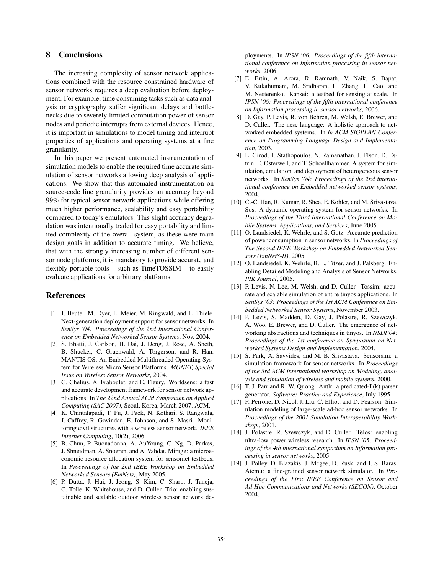## 8 Conclusions

The increasing complexity of sensor network applications combined with the resource constrained hardware of sensor networks requires a deep evaluation before deployment. For example, time consuming tasks such as data analysis or cryptography suffer significant delays and bottlenecks due to severely limited computation power of sensor nodes and periodic interrupts from external devices. Hence, it is important in simulations to model timing and interrupt properties of applications and operating systems at a fine granularity.

In this paper we present automated instrumentation of simulation models to enable the required time accurate simulation of sensor networks allowing deep analysis of applications. We show that this automated instrumentation on source-code line granularity provides an accuracy beyond 99% for typical sensor network applications while offering much higher performance, scalability and easy portability compared to today's emulators. This slight accuracy degradation was intentionally traded for easy portability and limited complexity of the overall system, as these were main design goals in addition to accurate timing. We believe, that with the strongly increasing number of different sensor node platforms, it is mandatory to provide accurate and flexibly portable tools – such as TimeTOSSIM – to easily evaluate applications for arbitrary platforms.

### References

- [1] J. Beutel, M. Dyer, L. Meier, M. Ringwald, and L. Thiele. Next-generation deployment support for sensor networks. In *SenSys '04: Proceedings of the 2nd International Conference on Embedded Networked Sensor Systems*, Nov. 2004.
- [2] S. Bhatti, J. Carlson, H. Dai, J. Deng, J. Rose, A. Sheth, B. Shucker, C. Gruenwald, A. Torgerson, and R. Han. MANTIS OS: An Embedded Multithreaded Operating System for Wireless Micro Sensor Platforms. *MONET, Special Issue on Wireless Sensor Networks*, 2004.
- [3] G. Chelius, A. Fraboulet, and E. Fleury. Worldsens: a fast and accurate development framework for sensor network applications. In *The 22nd Annual ACM Symposium on Applied Computing (SAC 2007)*, Seoul, Korea, March 2007. ACM.
- [4] K. Chintalapudi, T. Fu, J. Paek, N. Kothari, S. Rangwala, J. Caffrey, R. Govindan, E. Johnson, and S. Masri. Monitoring civil structures with a wireless sensor network. *IEEE Internet Computing*, 10(2), 2006.
- [5] B. Chun, P. Buonadonna, A. AuYoung, C. Ng, D. Parkes, J. Shneidman, A. Snoeren, and A. Vahdat. Mirage: a microeconomic resource allocation system for sensornet testbeds. In *Proceedings of the 2nd IEEE Workshop on Embedded Networked Sensors (EmNets)*, May 2005.
- [6] P. Dutta, J. Hui, J. Jeong, S. Kim, C. Sharp, J. Taneja, G. Tolle, K. Whitehouse, and D. Culler. Trio: enabling sustainable and scalable outdoor wireless sensor network de-

ployments. In *IPSN '06: Proceedings of the fifth international conference on Information processing in sensor networks*, 2006.

- [7] E. Ertin, A. Arora, R. Ramnath, V. Naik, S. Bapat, V. Kulathumani, M. Sridharan, H. Zhang, H. Cao, and M. Nesterenko. Kansei: a testbed for sensing at scale. In *IPSN '06: Proceedings of the fifth international conference on Information processing in sensor networks*, 2006.
- [8] D. Gay, P. Levis, R. von Behren, M. Welsh, E. Brewer, and D. Culler. The nesc language: A holistic approach to networked embedded systems. In *In ACM SIGPLAN Conference on Programming Language Design and Implementation*, 2003.
- [9] L. Girod, T. Stathopoulos, N. Ramanathan, J. Elson, D. Estrin, E. Osterweil, and T. Schoellhammer. A system for simulation, emulation, and deployment of heterogeneous sensor networks. In *SenSys '04: Proceedings of the 2nd international conference on Embedded networked sensor systems*, 2004.
- [10] C.-C. Han, R. Kumar, R. Shea, E. Kohler, and M. Srivastava. Sos: A dynamic operating system for sensor networks. In *Proceedings of the Third International Conference on Mobile Systems, Applications, and Services*, June 2005.
- [11] O. Landsiedel, K. Wehrle, and S. Gotz. Accurate prediction of power consumption in sensor networks. In *Proceedings of The Second IEEE Workshop on Embedded Networked Sensors (EmNetS-II)*, 2005.
- [12] O. Landsiedel, K. Wehrle, B. L. Titzer, and J. Palsberg. Enabling Detailed Modeling and Analysis of Sensor Networks. *PIK Journal*, 2005.
- [13] P. Levis, N. Lee, M. Welsh, and D. Culler. Tossim: accurate and scalable simulation of entire tinyos applications. In *SenSys '03: Proceedings of the 1st ACM Conference on Embedded Networked Sensor Systems*, November 2003.
- [14] P. Levis, S. Madden, D. Gay, J. Polastre, R. Szewczyk, A. Woo, E. Brewer, and D. Culler. The emergence of networking abstractions and techniques in tinyos. In *NSDI'04: Proceedings of the 1st conference on Symposium on Networked Systems Design and Implementation*, 2004.
- [15] S. Park, A. Savvides, and M. B. Srivastava. Sensorsim: a simulation framework for sensor networks. In *Proceedings of the 3rd ACM international workshop on Modeling, analysis and simulation of wireless and mobile systems*, 2000.
- [16] T. J. Parr and R. W. Quong. Antlr: a predicated-ll(k) parser generator. *Software: Practice and Experience*, July 1995.
- [17] F. Perrone, D. Nicol, J. Liu, C. Elliot, and D. Pearson. Simulation modeling of large-scale ad-hoc sensor networks. In *Proceedings of the 2001 Simulation Interoperability Workshop.*, 2001.
- [18] J. Polastre, R. Szewczyk, and D. Culler. Telos: enabling ultra-low power wireless research. In *IPSN '05: Proceedings of the 4th international symposium on Information processing in sensor networks*, 2005.
- [19] J. Polley, D. Blazakis, J. Mcgee, D. Rusk, and J. S. Baras. Atemu: a fine-grained sensor network simulator. In *Proceedings of the First IEEE Conference on Sensor and Ad Hoc Communications and Networks (SECON)*, October 2004.